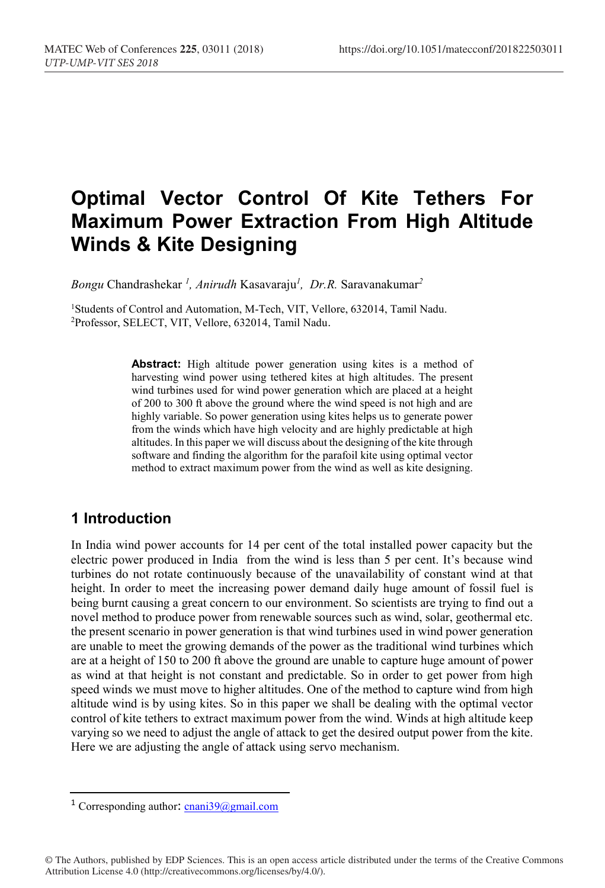# **Optimal Vector Control Of Kite Tethers For Maximum Power Extraction From High Altitude Winds & Kite Designing**

*Bongu* Chandrashekar *<sup>1</sup> , Anirudh* Kasavaraju*<sup>1</sup> , Dr.R.* Saravanakumar*<sup>2</sup>*

1Students of Control and Automation, M-Tech, VIT, Vellore, 632014, Tamil Nadu. 2Professor, SELECT, VIT, Vellore, 632014, Tamil Nadu.

**Abstract:** High altitude power generation using kites is a method of harvesting wind power using tethered kites at high altitudes. The present wind turbines used for wind power generation which are placed at a height of 200 to 300 ft above the ground where the wind speed is not high and are highly variable. So power generation using kites helps us to generate power from the winds which have high velocity and are highly predictable at high altitudes. In this paper we will discuss about the designing of the kite through software and finding the algorithm for the parafoil kite using optimal vector method to extract maximum power from the wind as well as kite designing.

## **1 Introduction**

In India wind power accounts for 14 per cent of the total installed power capacity but the electric power produced in India from the wind is less than 5 per cent. It's because wind turbines do not rotate continuously because of the unavailability of constant wind at that height. In order to meet the increasing power demand daily huge amount of fossil fuel is being burnt causing a great concern to our environment. So scientists are trying to find out a novel method to produce power from renewable sources such as wind, solar, geothermal etc. the present scenario in power generation is that wind turbines used in wind power generation are unable to meet the growing demands of the power as the traditional wind turbines which are at a height of 150 to 200 ft above the ground are unable to capture huge amount of power as wind at that height is not constant and predictable. So in order to get power from high speed winds we must move to higher altitudes. One of the method to capture wind from high altitude wind is by using kites. So in this paper we shall be dealing with the optimal vector control of kite tethers to extract maximum power from the wind. Winds at high altitude keep varying so we need to adjust the angle of attack to get the desired output power from the kite. Here we are adjusting the angle of attack using servo mechanism.

<sup>&</sup>lt;sup>1</sup> Corresponding author: cnani39@gmail.com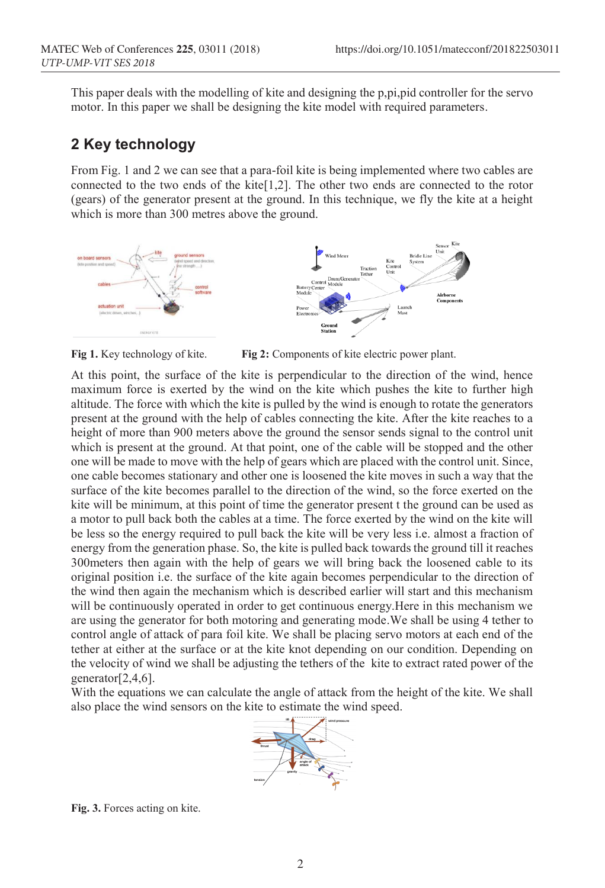This paper deals with the modelling of kite and designing the p,pi,pid controller for the servo motor. In this paper we shall be designing the kite model with required parameters.

#### **2 Key technology**

From Fig. 1 and 2 we can see that a para-foil kite is being implemented where two cables are connected to the two ends of the kite[1,2]. The other two ends are connected to the rotor (gears) of the generator present at the ground. In this technique, we fly the kite at a height which is more than 300 metres above the ground.



**Fig 1.** Key technology of kite. **Fig 2:** Components of kite electric power plant.

At this point, the surface of the kite is perpendicular to the direction of the wind, hence maximum force is exerted by the wind on the kite which pushes the kite to further high altitude. The force with which the kite is pulled by the wind is enough to rotate the generators present at the ground with the help of cables connecting the kite. After the kite reaches to a height of more than 900 meters above the ground the sensor sends signal to the control unit which is present at the ground. At that point, one of the cable will be stopped and the other one will be made to move with the help of gears which are placed with the control unit. Since, one cable becomes stationary and other one is loosened the kite moves in such a way that the surface of the kite becomes parallel to the direction of the wind, so the force exerted on the kite will be minimum, at this point of time the generator present t the ground can be used as a motor to pull back both the cables at a time. The force exerted by the wind on the kite will be less so the energy required to pull back the kite will be very less i.e. almost a fraction of energy from the generation phase. So, the kite is pulled back towards the ground till it reaches 300meters then again with the help of gears we will bring back the loosened cable to its original position i.e. the surface of the kite again becomes perpendicular to the direction of the wind then again the mechanism which is described earlier will start and this mechanism will be continuously operated in order to get continuous energy.Here in this mechanism we are using the generator for both motoring and generating mode.We shall be using 4 tether to control angle of attack of para foil kite. We shall be placing servo motors at each end of the tether at either at the surface or at the kite knot depending on our condition. Depending on the velocity of wind we shall be adjusting the tethers of the kite to extract rated power of the generator[2,4,6].

With the equations we can calculate the angle of attack from the height of the kite. We shall also place the wind sensors on the kite to estimate the wind speed.



**Fig. 3.** Forces acting on kite.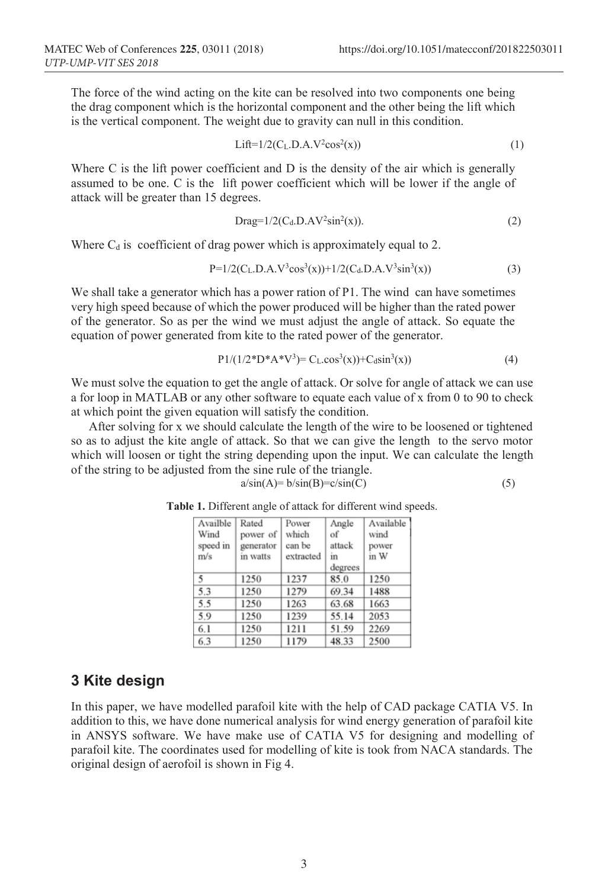The force of the wind acting on the kite can be resolved into two components one being the drag component which is the horizontal component and the other being the lift which is the vertical component. The weight due to gravity can null in this condition.

$$
Lift=1/2(CL.D.A.V2cos2(x))
$$
\n(1)

Where C is the lift power coefficient and D is the density of the air which is generally assumed to be one. C is the lift power coefficient which will be lower if the angle of attack will be greater than 15 degrees.

$$
Drag=1/2(Cd.D.AV2sin2(x)).
$$
\n(2)

Where  $C_d$  is coefficient of drag power which is approximately equal to 2.

$$
P=1/2(CL.D.A.V3cos3(x))+1/2(Cd.D.A.V3sin3(x))
$$
\n(3)

We shall take a generator which has a power ration of P1. The wind can have sometimes very high speed because of which the power produced will be higher than the rated power of the generator. So as per the wind we must adjust the angle of attack. So equate the equation of power generated from kite to the rated power of the generator.

$$
P1/(1/2^*D^*A^*V^3) = C_{L} \cos^3(x)) + C_d \sin^3(x))
$$
\n(4)

We must solve the equation to get the angle of attack. Or solve for angle of attack we can use a for loop in MATLAB or any other software to equate each value of x from 0 to 90 to check at which point the given equation will satisfy the condition.

After solving for x we should calculate the length of the wire to be loosened or tightened so as to adjust the kite angle of attack. So that we can give the length to the servo motor which will loosen or tight the string depending upon the input. We can calculate the length of the string to be adjusted from the sine rule of the triangle.

$$
a/\sin(A) = b/\sin(B) = c/\sin(C) \tag{5}
$$

| Availble | Rated     | Power     | Angle   | Available |
|----------|-----------|-----------|---------|-----------|
| Wind     | power of  | which     | of      | wind      |
| speed in | generator | can be    | attack  | power     |
| m/s      | in watts  | extracted | in      | in W      |
|          |           |           | degrees |           |
| 5        | 1250      | 1237      | 85.0    | 1250      |
| 5.3      | 1250      | 1279      | 69.34   | 1488      |
| 5.5      | 1250      | 1263      | 63.68   | 1663      |
| 5.9      | 1250      | 1239      | 55.14   | 2053      |
| 6.1      | 1250      | 1211      | 51.59   | 2269      |
| 6.3      | 1250      | 1179      | 48.33   | 2500      |

**Table 1.** Different angle of attack for different wind speeds.

#### **3 Kite design**

In this paper, we have modelled parafoil kite with the help of CAD package CATIA V5. In addition to this, we have done numerical analysis for wind energy generation of parafoil kite in ANSYS software. We have make use of CATIA V5 for designing and modelling of parafoil kite. The coordinates used for modelling of kite is took from NACA standards. The original design of aerofoil is shown in Fig 4.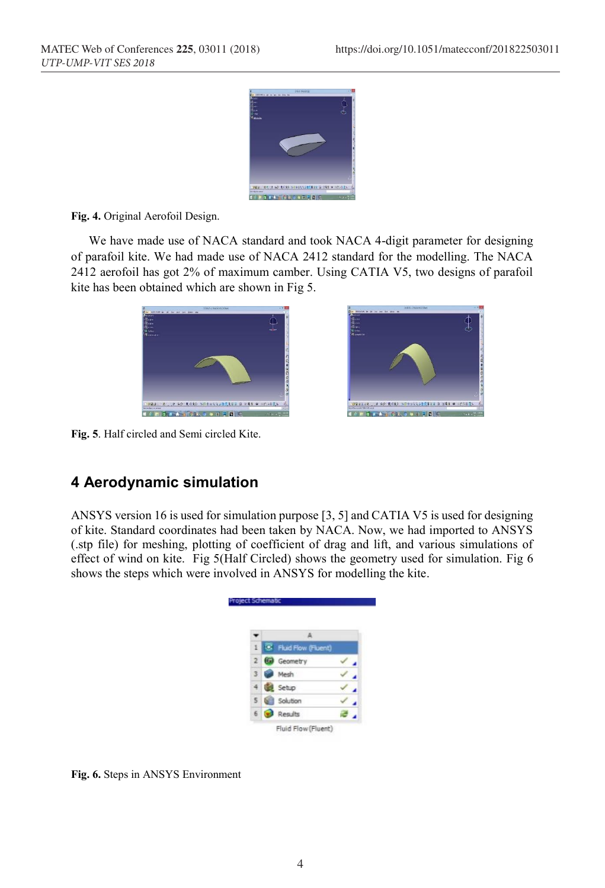

**Fig. 4.** Original Aerofoil Design.

We have made use of NACA standard and took NACA 4-digit parameter for designing of parafoil kite. We had made use of NACA 2412 standard for the modelling. The NACA 2412 aerofoil has got 2% of maximum camber. Using CATIA V5, two designs of parafoil kite has been obtained which are shown in Fig 5.



**Fig. 5**. Half circled and Semi circled Kite.



### **4 Aerodynamic simulation**

ANSYS version 16 is used for simulation purpose [3, 5] and CATIA V5 is used for designing of kite. Standard coordinates had been taken by NACA. Now, we had imported to ANSYS (.stp file) for meshing, plotting of coefficient of drag and lift, and various simulations of effect of wind on kite. Fig 5(Half Circled) shows the geometry used for simulation. Fig 6 shows the steps which were involved in ANSYS for modelling the kite.

|                |             | <b>1 &amp; Flud Flow (Fluent)</b> |  |
|----------------|-------------|-----------------------------------|--|
|                |             | 2 60 Geometry                     |  |
|                |             | Mesh                              |  |
| 4 <sup>1</sup> |             | Setup                             |  |
|                |             | 5 & Solution                      |  |
|                | $6\bigcirc$ | Results                           |  |

**Fig. 6.** Steps in ANSYS Environment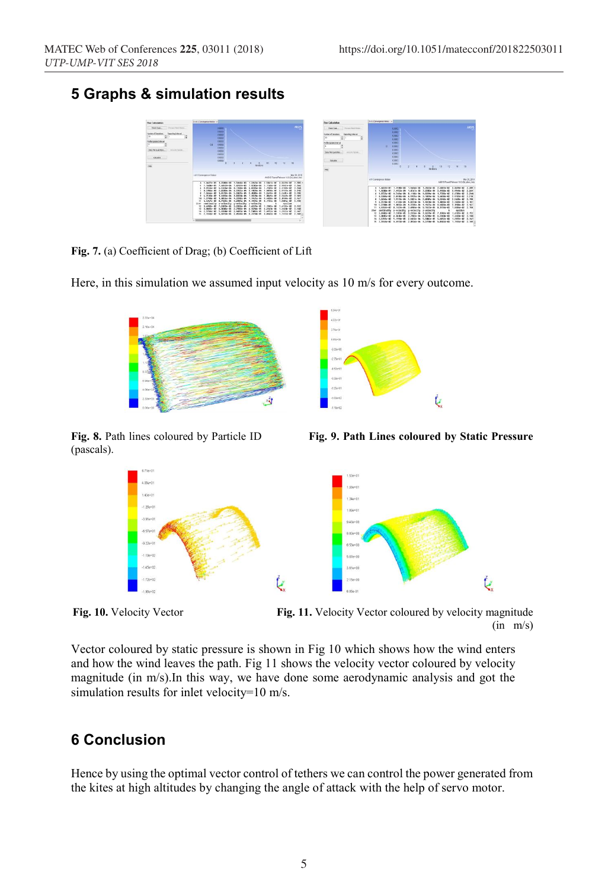## **5 Graphs & simulation results**

| <b>Pass Calculation</b>                         | 3 of Convergence Heliery, w                                                                                                                                                                                                                                                                                                                                                                                                                                                                                                                                                                                                                                                                                                                                                                                                                                                                                                                                                                                                                                                                    | <b>Rus Calculation</b>                                                         | 3.6 Conveyers Hotel v                                                                                                                                                                                                                                                                                                                                                                                                                                                                                                                                                                                                                                                                                                                                                                                                                                                                                                                                                                                                                                                                                  |
|-------------------------------------------------|------------------------------------------------------------------------------------------------------------------------------------------------------------------------------------------------------------------------------------------------------------------------------------------------------------------------------------------------------------------------------------------------------------------------------------------------------------------------------------------------------------------------------------------------------------------------------------------------------------------------------------------------------------------------------------------------------------------------------------------------------------------------------------------------------------------------------------------------------------------------------------------------------------------------------------------------------------------------------------------------------------------------------------------------------------------------------------------------|--------------------------------------------------------------------------------|--------------------------------------------------------------------------------------------------------------------------------------------------------------------------------------------------------------------------------------------------------------------------------------------------------------------------------------------------------------------------------------------------------------------------------------------------------------------------------------------------------------------------------------------------------------------------------------------------------------------------------------------------------------------------------------------------------------------------------------------------------------------------------------------------------------------------------------------------------------------------------------------------------------------------------------------------------------------------------------------------------------------------------------------------------------------------------------------------------|
| Ched Case  Horsey Hoch Police,                  | AMSY<br>6 8000<br>0.9300                                                                                                                                                                                                                                                                                                                                                                                                                                                                                                                                                                                                                                                                                                                                                                                                                                                                                                                                                                                                                                                                       |                                                                                | <b>JASYS</b><br>00002<br>ODEE2                                                                                                                                                                                                                                                                                                                                                                                                                                                                                                                                                                                                                                                                                                                                                                                                                                                                                                                                                                                                                                                                         |
| turbe of Deaders<br>- Reporting Internal<br>511 | 8 8000<br>8.9902                                                                                                                                                                                                                                                                                                                                                                                                                                                                                                                                                                                                                                                                                                                                                                                                                                                                                                                                                                                                                                                                               | <b>Dear top 2-tenut</b><br><b>Inches of Denvisers</b><br>A.<br>$\overline{11}$ | COREZ<br>00882                                                                                                                                                                                                                                                                                                                                                                                                                                                                                                                                                                                                                                                                                                                                                                                                                                                                                                                                                                                                                                                                                         |
| Professional Interval                           | 89902<br>8,9302<br>OF:<br>3,3302                                                                                                                                                                                                                                                                                                                                                                                                                                                                                                                                                                                                                                                                                                                                                                                                                                                                                                                                                                                                                                                               | Polle Update Internet                                                          | Vicent<br>costi<br>$\alpha$                                                                                                                                                                                                                                                                                                                                                                                                                                                                                                                                                                                                                                                                                                                                                                                                                                                                                                                                                                                                                                                                            |
| Externe Quantities<br>Ample Service             | 8,900<br>9.9910                                                                                                                                                                                                                                                                                                                                                                                                                                                                                                                                                                                                                                                                                                                                                                                                                                                                                                                                                                                                                                                                                | Detailed Question<br>Aren't Jurie                                              | com:<br>com <sub>2</sub>                                                                                                                                                                                                                                                                                                                                                                                                                                                                                                                                                                                                                                                                                                                                                                                                                                                                                                                                                                                                                                                                               |
| <b>CALIN'S</b>                                  | 8,9902<br>8 8900<br>10 <sub>1</sub><br>$\mathbf{u}$<br>$\overline{a}$<br>$\sim$                                                                                                                                                                                                                                                                                                                                                                                                                                                                                                                                                                                                                                                                                                                                                                                                                                                                                                                                                                                                                | Calculate                                                                      | 00092<br>OCEE2                                                                                                                                                                                                                                                                                                                                                                                                                                                                                                                                                                                                                                                                                                                                                                                                                                                                                                                                                                                                                                                                                         |
| $\overline{\phantom{a}}$                        | testore                                                                                                                                                                                                                                                                                                                                                                                                                                                                                                                                                                                                                                                                                                                                                                                                                                                                                                                                                                                                                                                                                        | m)                                                                             | 00012<br>97. SP<br>18<br>$-16$<br>$-12$<br>16<br><b>Brokley</b>                                                                                                                                                                                                                                                                                                                                                                                                                                                                                                                                                                                                                                                                                                                                                                                                                                                                                                                                                                                                                                        |
|                                                 | ca 1 Consequenza History<br>Mar 30, 3018<br>restrit Fluent Release 14.0.0g gans ries<br>1.2989-02 1.5146-03 1.3423-03 2.5861-02 4.8629-02 2.299 -<br>$A = 0$ $AA334 - AB$                                                                                                                                                                                                                                                                                                                                                                                                                                                                                                                                                                                                                                                                                                                                                                                                                                                                                                                      |                                                                                | Mar 20, 2018<br>of Cavergece Hitter<br>ANSI'S Flood Release 10.3 Od. Mos. Rel.                                                                                                                                                                                                                                                                                                                                                                                                                                                                                                                                                                                                                                                                                                                                                                                                                                                                                                                                                                                                                         |
|                                                 | 2.1108-02 3.1951-02 2.255<br>5 1.1688-01<br>7.10534-06<br>1.6063x-83 7.9283x-89<br>3.3789c 82 2.298<br>$4 - 9 - 95564 - 87$<br>8.1180c.00<br>A. 67554-004<br>1.75894.00<br><b>A. Sallac</b><br>2.9102-82 2.218<br>8.59864-82<br>T. ERRIA-RY<br>5.1355c-85 2.1829c-89<br>1 <b>SETARA - PET</b><br>$8.7 - 36864 - 87$<br>1.95182-00<br>5.5805c-85 P.0000c-85<br>2.54814-87 2.338<br>1.76MA-07<br>A.1370-55 1.9270-01<br>2.26694-02 2.181<br>$9.4.2510x - 82$<br>1.0003v:00<br><b>3 85454-00</b><br>A. FRENCHA 1. 1575 (189)<br>.0100c-02 2.557<br>18 S. Frederick<br>9.687841<br>1.00554106<br>11 0.0337c-07 0.7527c-05 0.4583c-05 0.1077c-05 0.1733c-00<br>1.100mm 07 2.150<br>rosiles<br>iter continuity s-selecity y-selecity r-selecity<br>1.41324-82 2.152<br>17 3.49824-82<br>$7.28730 - 00$<br>3.22264-85<br>$7.4271 - 00$<br>$7.1282e - 00$<br><b>C. District</b><br>1.3508-32 0.538<br>11 3.88954-87<br>2.7500x-85 6.3750x-90<br><b>AD</b><br>18 2.57814-82<br>5.69539-00<br>1.28224-82 2.197<br>L. TOOMA<br>15 2.1556c-82 h.k013x-05 2.0526c-8h h.7750c-05 h.8h53x-00 1.1555c-82 2.5k9 |                                                                                | 4 1.5627r-91 1.2000r-82 1.5656r-82 1.5523r-82<br>2.58650-02 4.9579c-02<br>2.199<br>5 1.1680-81 7.4952c-84 1.0002c-80 7.9280c-84 2.1168c-82 3.9941c-82 2.264<br>4 9.9554-07 A-5klke-3k 9.1185c-6k a-835kc-8k<br>1,7589c-02 0,3789c-02 2,248<br>8.59864-82<br>1,4638-92 2,91924-92 2,218<br>2.85854-84 4.53254-8h<br>3 1659c-8h<br>8 7.56Mm-RF<br>1.0110c.00 5.5000c.00<br>1,7649-82 2,548fr-82 2,198<br>7.8980x-8h<br>9 4.7010c-07<br>2.2689-82 2.991<br>1.4163c-8s 5.8078c-8s 1.6578c-85<br>$\infty$<br>1.00654<br>1.8050-01 5.2200-01 1.5575-01 1.5076-02 2.9586-02 2.557<br>18 5.77884-87<br>11 4.4147c-42 8.7422c-85 3.4664c-84 9.1972c-85 8.1734c-60 1.8834c-42 2.158<br>cestimity x-selecity y-velocity z-velocity<br>epsilon<br><b>STev</b><br>12 3.49924-92<br>$7.7472 - 26$<br>3.5556e-BL<br>$7.4376 - 86$<br>(8) 1,41324-82 2,153<br>7.15924<br>12 2.0004-02<br>2.700e-0s 4.32Me-05<br>1.4928-07 2.158<br>4.0004-01<br>4.75684-00<br>14 2.5781e-82 5.1990e-85 2.4873e-84 5.5007e-85 5.4653e-80 1.2922e-82 2.147<br>15 2.155An-82 8.3113n-85 2.055kn-8k 8.775Bn-95 8.855Sn-85 1.155Sn-82 2.165 |

**Fig. 7.** (a) Coefficient of Drag; (b) Coefficient of Lift

Here, in this simulation we assumed input velocity as 10 m/s for every outcome.



**Fig. 8.** Path lines coloured by Particle ID **Fig. 9. Path Lines coloured by Static Pressure** (pascals).





**Fig. 10.** Velocity Vector **Fig. 11.** Velocity Vector coloured by velocity magnitude  $(in \, m/s)$ 

Vector coloured by static pressure is shown in Fig 10 which shows how the wind enters and how the wind leaves the path. Fig 11 shows the velocity vector coloured by velocity magnitude (in m/s).In this way, we have done some aerodynamic analysis and got the simulation results for inlet velocity=10 m/s.

## **6 Conclusion**

Hence by using the optimal vector control of tethers we can control the power generated from the kites at high altitudes by changing the angle of attack with the help of servo motor.